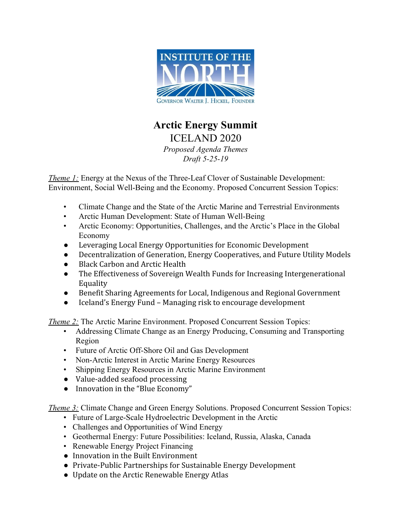

## **Arctic Energy Summit**  ICELAND 2020

*Proposed Agenda Themes Draft 5-25-19* 

*Theme 1:* Energy at the Nexus of the Three-Leaf Clover of Sustainable Development: Environment, Social Well-Being and the Economy. Proposed Concurrent Session Topics:

- Climate Change and the State of the Arctic Marine and Terrestrial Environments
- Arctic Human Development: State of Human Well-Being
- Arctic Economy: Opportunities, Challenges, and the Arctic's Place in the Global Economy
- Leveraging Local Energy Opportunities for Economic Development
- Decentralization of Generation, Energy Cooperatives, and Future Utility Models
- **Black Carbon and Arctic Health**
- The Effectiveness of Sovereign Wealth Funds for Increasing Intergenerational Equality
- Benefit Sharing Agreements for Local, Indigenous and Regional Government
- Iceland's Energy Fund Managing risk to encourage development

*Theme 2:* The Arctic Marine Environment. Proposed Concurrent Session Topics:

- Addressing Climate Change as an Energy Producing, Consuming and Transporting Region
- Future of Arctic Off-Shore Oil and Gas Development
- Non-Arctic Interest in Arctic Marine Energy Resources
- Shipping Energy Resources in Arctic Marine Environment
- Value-added seafood processing
- Innovation in the "Blue Economy"

*Theme 3:* Climate Change and Green Energy Solutions. Proposed Concurrent Session Topics:

- Future of Large-Scale Hydroelectric Development in the Arctic
- Challenges and Opportunities of Wind Energy
- Geothermal Energy: Future Possibilities: Iceland, Russia, Alaska, Canada
- Renewable Energy Project Financing
- Innovation in the Built Environment
- Private-Public Partnerships for Sustainable Energy Development
- Update on the Arctic Renewable Energy Atlas